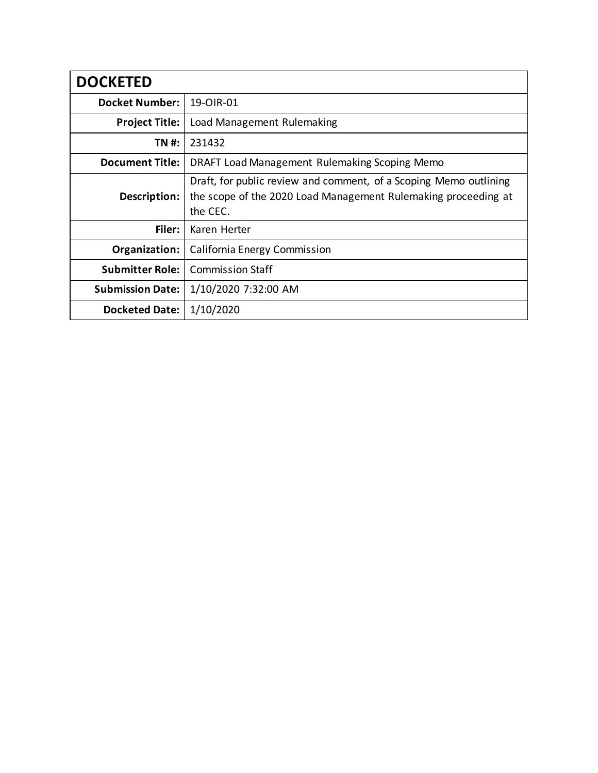| <b>DOCKETED</b>         |                                                                                                                                                 |
|-------------------------|-------------------------------------------------------------------------------------------------------------------------------------------------|
| <b>Docket Number:</b>   | 19-OIR-01                                                                                                                                       |
| <b>Project Title:</b>   | Load Management Rulemaking                                                                                                                      |
| TN #:                   | 231432                                                                                                                                          |
| <b>Document Title:</b>  | DRAFT Load Management Rulemaking Scoping Memo                                                                                                   |
| Description:            | Draft, for public review and comment, of a Scoping Memo outlining<br>the scope of the 2020 Load Management Rulemaking proceeding at<br>the CEC. |
| Filer:                  | Karen Herter                                                                                                                                    |
| Organization:           | California Energy Commission                                                                                                                    |
| <b>Submitter Role:</b>  | <b>Commission Staff</b>                                                                                                                         |
| <b>Submission Date:</b> | 1/10/2020 7:32:00 AM                                                                                                                            |
| <b>Docketed Date:</b>   | 1/10/2020                                                                                                                                       |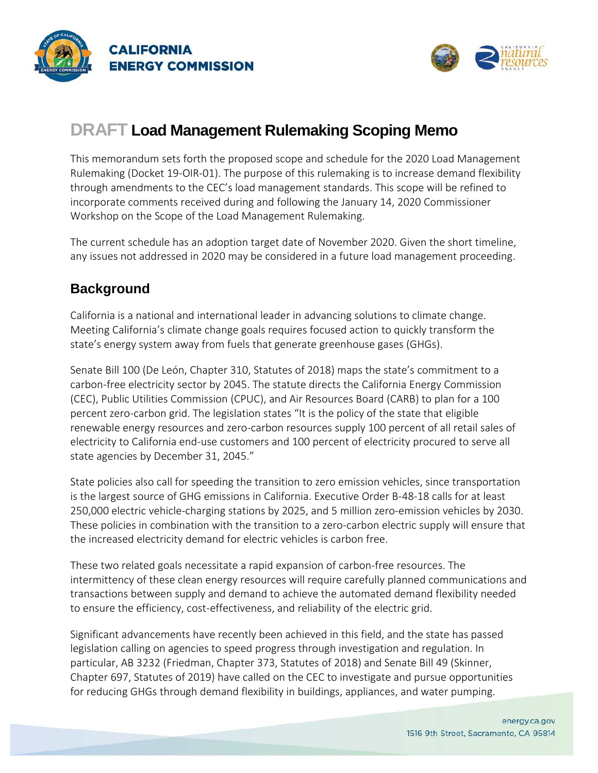



# **DRAFT Load Management Rulemaking Scoping Memo**

This memorandum sets forth the proposed scope and schedule for the 2020 Load Management Rulemaking (Docket 19-OIR-01). The purpose of this rulemaking is to increase demand flexibility through amendments to the CEC's load management standards. This scope will be refined to incorporate comments received during and following the January 14, 2020 Commissioner Workshop on the Scope of the Load Management Rulemaking.

The current schedule has an adoption target date of November 2020. Given the short timeline, any issues not addressed in 2020 may be considered in a future load management proceeding.

### **Background**

California is a national and international leader in advancing solutions to climate change. Meeting California's climate change goals requires focused action to quickly transform the state's energy system away from fuels that generate greenhouse gases (GHGs).

Senate Bill 100 (De León, Chapter 310, Statutes of 2018) maps the state's commitment to a carbon-free electricity sector by 2045. The statute directs the California Energy Commission (CEC), Public Utilities Commission (CPUC), and Air Resources Board (CARB) to plan for a 100 percent zero-carbon grid. The legislation states "It is the policy of the state that eligible renewable energy resources and zero-carbon resources supply 100 percent of all retail sales of electricity to California end-use customers and 100 percent of electricity procured to serve all state agencies by December 31, 2045."

State policies also call for speeding the transition to zero emission vehicles, since transportation is the largest source of GHG emissions in California. Executive Order B-48-18 calls for at least 250,000 electric vehicle-charging stations by 2025, and 5 million zero-emission vehicles by 2030. These policies in combination with the transition to a zero-carbon electric supply will ensure that the increased electricity demand for electric vehicles is carbon free.

These two related goals necessitate a rapid expansion of carbon-free resources. The intermittency of these clean energy resources will require carefully planned communications and transactions between supply and demand to achieve the automated demand flexibility needed to ensure the efficiency, cost-effectiveness, and reliability of the electric grid.

Significant advancements have recently been achieved in this field, and the state has passed legislation calling on agencies to speed progress through investigation and regulation. In particular, AB 3232 (Friedman, Chapter 373, Statutes of 2018) and Senate Bill 49 (Skinner, Chapter 697, Statutes of 2019) have called on the CEC to investigate and pursue opportunities for reducing GHGs through demand flexibility in buildings, appliances, and water pumping.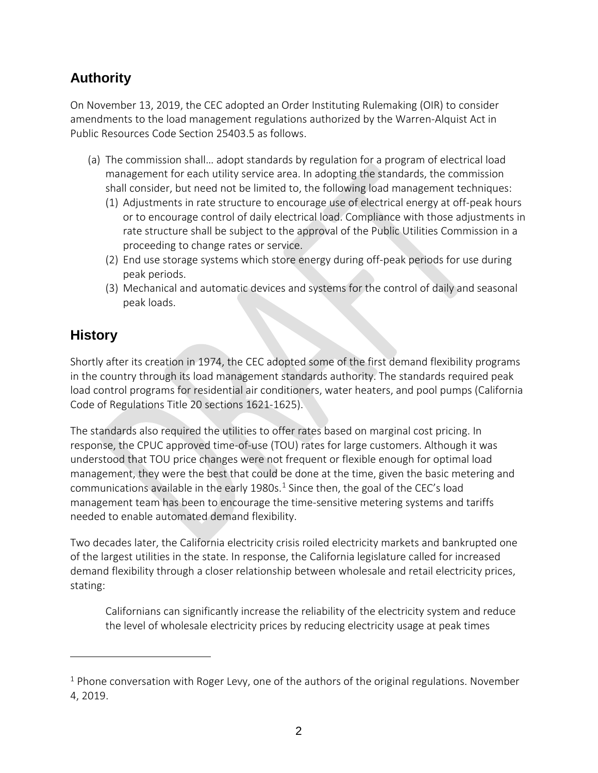## **Authority**

On November 13, 2019, the CEC adopted an Order Instituting Rulemaking (OIR) to consider amendments to the load management regulations authorized by the Warren-Alquist Act in Public Resources Code Section 25403.5 as follows.

- (a) The commission shall… adopt standards by regulation for a program of electrical load management for each utility service area. In adopting the standards, the commission shall consider, but need not be limited to, the following load management techniques:
	- (1) Adjustments in rate structure to encourage use of electrical energy at off-peak hours or to encourage control of daily electrical load. Compliance with those adjustments in rate structure shall be subject to the approval of the Public Utilities Commission in a proceeding to change rates or service.
	- (2) End use storage systems which store energy during off-peak periods for use during peak periods.
	- (3) Mechanical and automatic devices and systems for the control of daily and seasonal peak loads.

## **History**

 $\overline{a}$ 

Shortly after its creation in 1974, the CEC adopted some of the first demand flexibility programs in the country through its load management standards authority. The standards required peak load control programs for residential air conditioners, water heaters, and pool pumps (California Code of Regulations Title 20 sections 1621-1625).

The standards also required the utilities to offer rates based on marginal cost pricing. In response, the CPUC approved time-of-use (TOU) rates for large customers. Although it was understood that TOU price changes were not frequent or flexible enough for optimal load management, they were the best that could be done at the time, given the basic metering and communications available in the early [1](#page-2-0)980s.<sup>1</sup> Since then, the goal of the CEC's load management team has been to encourage the time-sensitive metering systems and tariffs needed to enable automated demand flexibility.

Two decades later, the California electricity crisis roiled electricity markets and bankrupted one of the largest utilities in the state. In response, the California legislature called for increased demand flexibility through a closer relationship between wholesale and retail electricity prices, stating:

Californians can significantly increase the reliability of the electricity system and reduce the level of wholesale electricity prices by reducing electricity usage at peak times

<span id="page-2-0"></span> $1$  Phone conversation with Roger Levy, one of the authors of the original regulations. November 4, 2019.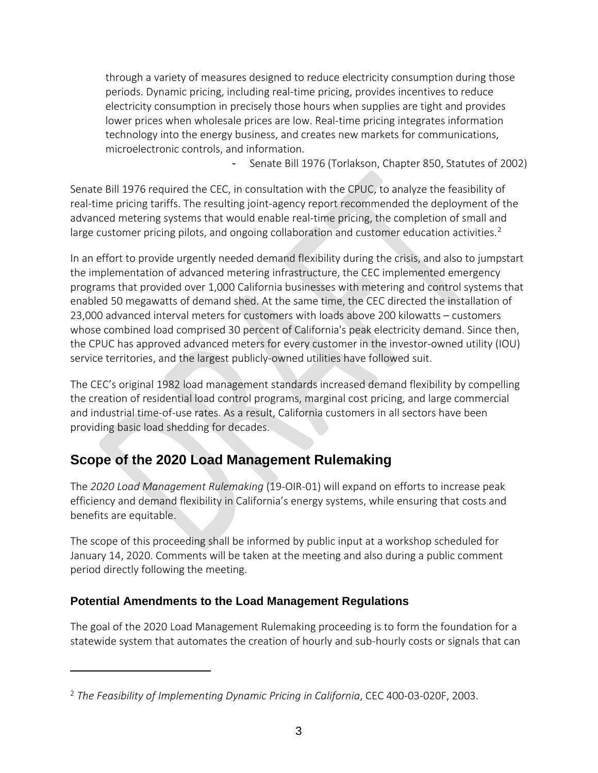through a variety of measures designed to reduce electricity consumption during those periods. Dynamic pricing, including real-time pricing, provides incentives to reduce electricity consumption in precisely those hours when supplies are tight and provides lower prices when wholesale prices are low. Real-time pricing integrates information technology into the energy business, and creates new markets for communications, microelectronic controls, and information.

Senate Bill 1976 (Torlakson, Chapter 850, Statutes of 2002)

Senate Bill 1976 required the CEC, in consultation with the CPUC, to analyze the feasibility of real-time pricing tariffs. The resulting joint-agency report recommended the deployment of the advanced metering systems that would enable real-time pricing, the completion of small and large customer pricing pilots, and ongoing collaboration and customer education activities.<sup>[2](#page-3-0)</sup>

In an effort to provide urgently needed demand flexibility during the crisis, and also to jumpstart the implementation of advanced metering infrastructure, the CEC implemented emergency programs that provided over 1,000 California businesses with metering and control systems that enabled 50 megawatts of demand shed. At the same time, the CEC directed the installation of 23,000 advanced interval meters for customers with loads above 200 kilowatts – customers whose combined load comprised 30 percent of California's peak electricity demand. Since then, the CPUC has approved advanced meters for every customer in the investor-owned utility (IOU) service territories, and the largest publicly-owned utilities have followed suit.

The CEC's original 1982 load management standards increased demand flexibility by compelling the creation of residential load control programs, marginal cost pricing, and large commercial and industrial time-of-use rates. As a result, California customers in all sectors have been providing basic load shedding for decades.

## **Scope of the 2020 Load Management Rulemaking**

The *2020 Load Management Rulemaking* (19-OIR-01) will expand on efforts to increase peak efficiency and demand flexibility in California's energy systems, while ensuring that costs and benefits are equitable.

The scope of this proceeding shall be informed by public input at a workshop scheduled for January 14, 2020. Comments will be taken at the meeting and also during a public comment period directly following the meeting.

### **Potential Amendments to the Load Management Regulations**

 $\overline{a}$ 

The goal of the 2020 Load Management Rulemaking proceeding is to form the foundation for a statewide system that automates the creation of hourly and sub-hourly costs or signals that can

<span id="page-3-0"></span><sup>2</sup> *The Feasibility of Implementing Dynamic Pricing in California*, CEC 400-03-020F, 2003.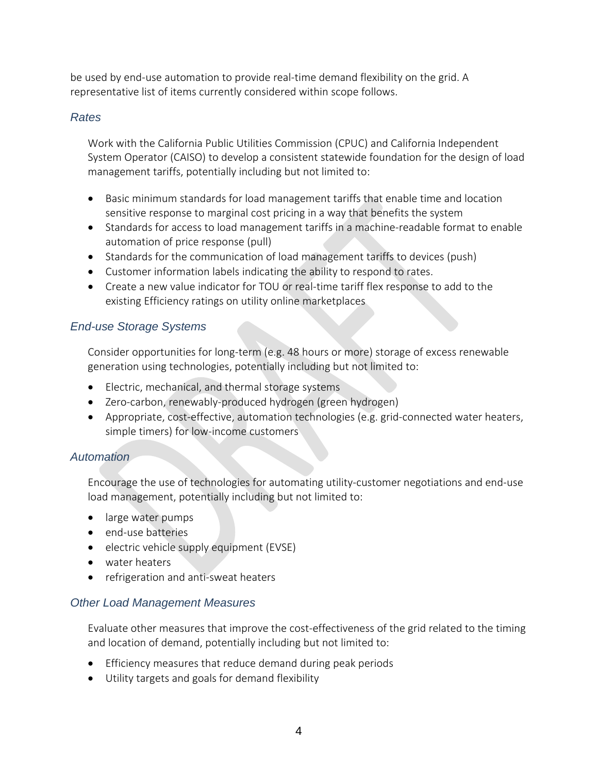be used by end-use automation to provide real-time demand flexibility on the grid. A representative list of items currently considered within scope follows.

#### *Rates*

Work with the California Public Utilities Commission (CPUC) and California Independent System Operator (CAISO) to develop a consistent statewide foundation for the design of load management tariffs, potentially including but not limited to:

- Basic minimum standards for load management tariffs that enable time and location sensitive response to marginal cost pricing in a way that benefits the system
- Standards for access to load management tariffs in a machine-readable format to enable automation of price response (pull)
- Standards for the communication of load management tariffs to devices (push)
- Customer information labels indicating the ability to respond to rates.
- Create a new value indicator for TOU or real-time tariff flex response to add to the existing Efficiency ratings on utility online marketplaces

#### *End-use Storage Systems*

Consider opportunities for long-term (e.g. 48 hours or more) storage of excess renewable generation using technologies, potentially including but not limited to:

- Electric, mechanical, and thermal storage systems
- Zero-carbon, renewably-produced hydrogen (green hydrogen)
- Appropriate, cost-effective, automation technologies (e.g. grid-connected water heaters, simple timers) for low-income customers

#### *Automation*

Encourage the use of technologies for automating utility-customer negotiations and end-use load management, potentially including but not limited to:

- large water pumps
- end-use batteries
- electric vehicle supply equipment (EVSE)
- water heaters
- refrigeration and anti-sweat heaters

#### *Other Load Management Measures*

Evaluate other measures that improve the cost-effectiveness of the grid related to the timing and location of demand, potentially including but not limited to:

- Efficiency measures that reduce demand during peak periods
- Utility targets and goals for demand flexibility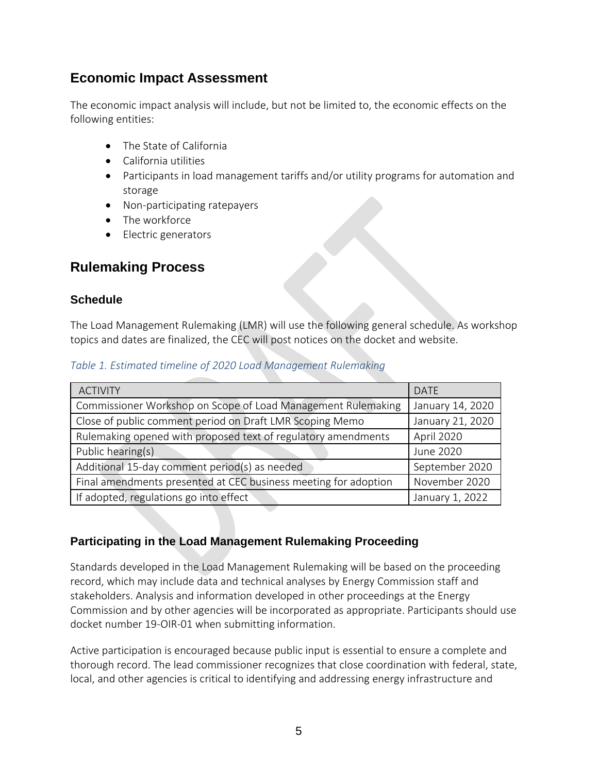### **Economic Impact Assessment**

The economic impact analysis will include, but not be limited to, the economic effects on the following entities:

- The State of California
- California utilities
- Participants in load management tariffs and/or utility programs for automation and storage
- Non-participating ratepayers
- The workforce
- Electric generators

### **Rulemaking Process**

#### **Schedule**

The Load Management Rulemaking (LMR) will use the following general schedule. As workshop topics and dates are finalized, the CEC will post notices on the docket and website.

| <b>ACTIVITY</b>                                                 | <b>DATE</b>      |
|-----------------------------------------------------------------|------------------|
| Commissioner Workshop on Scope of Load Management Rulemaking    | January 14, 2020 |
| Close of public comment period on Draft LMR Scoping Memo        | January 21, 2020 |
| Rulemaking opened with proposed text of regulatory amendments   | April 2020       |
| Public hearing(s)                                               | June 2020        |
| Additional 15-day comment period(s) as needed                   | September 2020   |
| Final amendments presented at CEC business meeting for adoption | November 2020    |
| If adopted, regulations go into effect                          | January 1, 2022  |

*Table 1. Estimated timeline of 2020 Load Management Rulemaking*

#### **Participating in the Load Management Rulemaking Proceeding**

Standards developed in the Load Management Rulemaking will be based on the proceeding record, which may include data and technical analyses by Energy Commission staff and stakeholders. Analysis and information developed in other proceedings at the Energy Commission and by other agencies will be incorporated as appropriate. Participants should use docket number 19-OIR-01 when submitting information.

Active participation is encouraged because public input is essential to ensure a complete and thorough record. The lead commissioner recognizes that close coordination with federal, state, local, and other agencies is critical to identifying and addressing energy infrastructure and